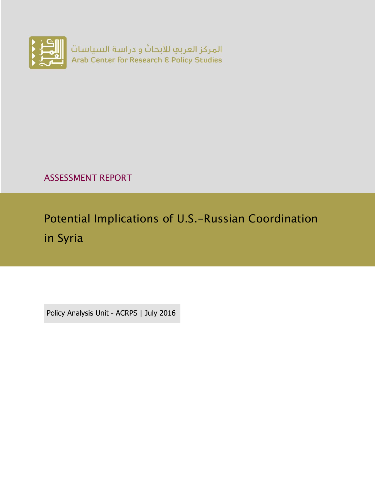

ASSESSMENT REPORT

Potential Implications of U.S.-Russian Coordination in Syria

Policy Analysis Unit - ACRPS | July 2016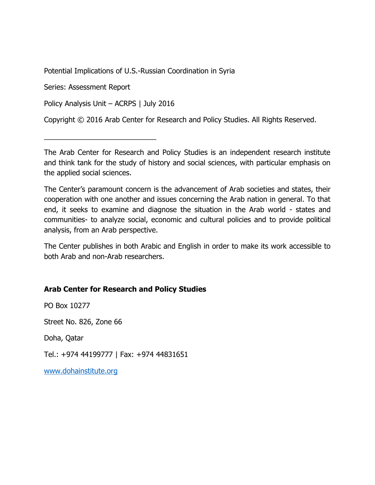Potential Implications of U.S.-Russian Coordination in Syria

Series: Assessment Report

Policy Analysis Unit – ACRPS | July 2016

\_\_\_\_\_\_\_\_\_\_\_\_\_\_\_\_\_\_\_\_\_\_\_\_\_\_\_\_

Copyright © 2016 Arab Center for Research and Policy Studies. All Rights Reserved.

The Arab Center for Research and Policy Studies is an independent research institute and think tank for the study of history and social sciences, with particular emphasis on the applied social sciences.

The Center's paramount concern is the advancement of Arab societies and states, their cooperation with one another and issues concerning the Arab nation in general. To that end, it seeks to examine and diagnose the situation in the Arab world - states and communities- to analyze social, economic and cultural policies and to provide political analysis, from an Arab perspective.

The Center publishes in both Arabic and English in order to make its work accessible to both Arab and non-Arab researchers.

#### **Arab Center for Research and Policy Studies**

PO Box 10277

Street No. 826, Zone 66

Doha, Qatar

Tel.: +974 44199777 | Fax: +974 44831651

[www.dohainstitute.org](file:///C:/Users/dena.qaddumi/Desktop/www.dohainstitute.org)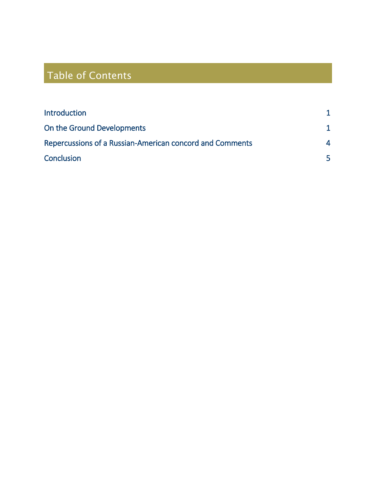# Table of Contents

| 4 |
|---|
|   |
|   |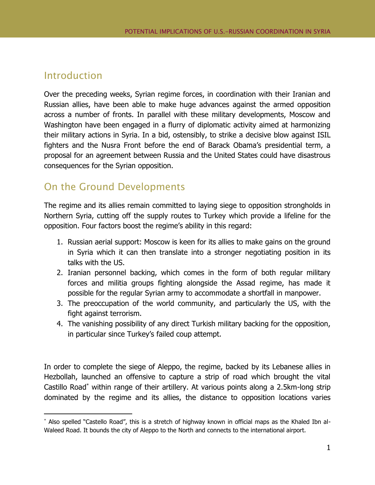#### <span id="page-4-0"></span>Introduction

 $\overline{a}$ 

Over the preceding weeks, Syrian regime forces, in coordination with their Iranian and Russian allies, have been able to make huge advances against the armed opposition across a number of fronts. In parallel with these military developments, Moscow and Washington have been engaged in a flurry of diplomatic activity aimed at harmonizing their military actions in Syria. In a bid, ostensibly, to strike a decisive blow against ISIL fighters and the Nusra Front before the end of Barack Obama's presidential term, a proposal for an agreement between Russia and the United States could have disastrous consequences for the Syrian opposition.

### <span id="page-4-1"></span>On the Ground Developments

The regime and its allies remain committed to laying siege to opposition strongholds in Northern Syria, cutting off the supply routes to Turkey which provide a lifeline for the opposition. Four factors boost the regime's ability in this regard:

- 1. Russian aerial support: Moscow is keen for its allies to make gains on the ground in Syria which it can then translate into a stronger negotiating position in its talks with the US.
- 2. Iranian personnel backing, which comes in the form of both regular military forces and militia groups fighting alongside the Assad regime, has made it possible for the regular Syrian army to accommodate a shortfall in manpower.
- 3. The preoccupation of the world community, and particularly the US, with the fight against terrorism.
- 4. The vanishing possibility of any direct Turkish military backing for the opposition, in particular since Turkey's failed coup attempt.

In order to complete the siege of Aleppo, the regime, backed by its Lebanese allies in Hezbollah, launched an offensive to capture a strip of road which brought the vital Castillo Road<sup>\*</sup> within range of their artillery. At various points along a 2.5km-long strip dominated by the regime and its allies, the distance to opposition locations varies

Also spelled "Castello Road", this is a stretch of highway known in official maps as the Khaled Ibn al-Waleed Road. It bounds the city of Aleppo to the North and connects to the international airport.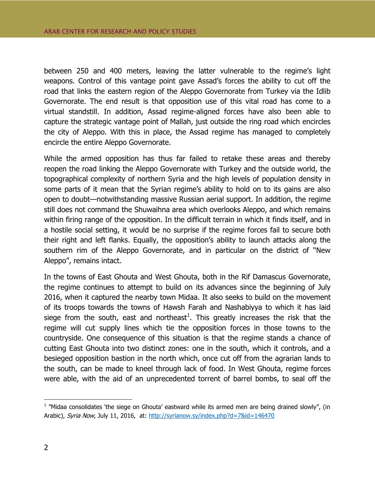between 250 and 400 meters, leaving the latter vulnerable to the regime's light weapons. Control of this vantage point gave Assad's forces the ability to cut off the road that links the eastern region of the Aleppo Governorate from Turkey via the Idlib Governorate. The end result is that opposition use of this vital road has come to a virtual standstill. In addition, Assad regime-aligned forces have also been able to capture the strategic vantage point of Mallah, just outside the ring road which encircles the city of Aleppo. With this in place, the Assad regime has managed to completely encircle the entire Aleppo Governorate.

While the armed opposition has thus far failed to retake these areas and thereby reopen the road linking the Aleppo Governorate with Turkey and the outside world, the topographical complexity of northern Syria and the high levels of population density in some parts of it mean that the Syrian regime's ability to hold on to its gains are also open to doubt—notwithstanding massive Russian aerial support. In addition, the regime still does not command the Shuwaihna area which overlooks Aleppo, and which remains within firing range of the opposition. In the difficult terrain in which it finds itself, and in a hostile social setting, it would be no surprise if the regime forces fail to secure both their right and left flanks. Equally, the opposition's ability to launch attacks along the southern rim of the Aleppo Governorate, and in particular on the district of "New Aleppo", remains intact.

In the towns of East Ghouta and West Ghouta, both in the Rif Damascus Governorate, the regime continues to attempt to build on its advances since the beginning of July 2016, when it captured the nearby town Midaa. It also seeks to build on the movement of its troops towards the towns of Hawsh Farah and Nashabiyya to which it has laid siege from the south, east and northeast<sup>1</sup>. This greatly increases the risk that the regime will cut supply lines which tie the opposition forces in those towns to the countryside. One consequence of this situation is that the regime stands a chance of cutting East Ghouta into two distinct zones: one in the south, which it controls, and a besieged opposition bastion in the north which, once cut off from the agrarian lands to the south, can be made to kneel through lack of food. In West Ghouta, regime forces were able, with the aid of an unprecedented torrent of barrel bombs, to seal off the

 $\overline{a}$ 

<sup>&</sup>lt;sup>1</sup> "Midaa consolidates 'the siege on Ghouta' eastward while its armed men are being drained slowly", (in Arabic), Syria Now, July 11, 2016, at:<http://syrianow.sy/index.php?d=7&id=146470>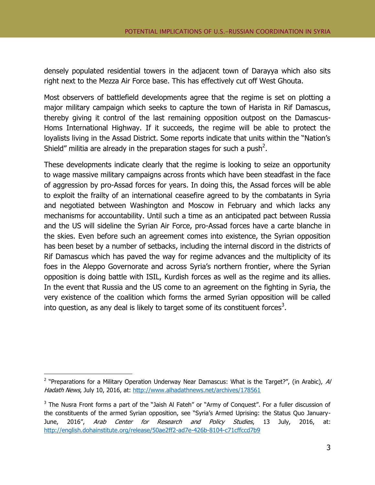densely populated residential towers in the adjacent town of Darayya which also sits right next to the Mezza Air Force base. This has effectively cut off West Ghouta.

Most observers of battlefield developments agree that the regime is set on plotting a major military campaign which seeks to capture the town of Harista in Rif Damascus, thereby giving it control of the last remaining opposition outpost on the Damascus-Homs International Highway. If it succeeds, the regime will be able to protect the loyalists living in the Assad District. Some reports indicate that units within the "Nation's Shield" militia are already in the preparation stages for such a push<sup>2</sup>.

These developments indicate clearly that the regime is looking to seize an opportunity to wage massive military campaigns across fronts which have been steadfast in the face of aggression by pro-Assad forces for years. In doing this, the Assad forces will be able to exploit the frailty of an international ceasefire agreed to by the combatants in Syria and negotiated between Washington and Moscow in February and which lacks any mechanisms for accountability. Until such a time as an anticipated pact between Russia and the US will sideline the Syrian Air Force, pro-Assad forces have a carte blanche in the skies. Even before such an agreement comes into existence, the Syrian opposition has been beset by a number of setbacks, including the internal discord in the districts of Rif Damascus which has paved the way for regime advances and the multiplicity of its foes in the Aleppo Governorate and across Syria's northern frontier, where the Syrian opposition is doing battle with ISIL, Kurdish forces as well as the regime and its allies. In the event that Russia and the US come to an agreement on the fighting in Syria, the very existence of the coalition which forms the armed Syrian opposition will be called into question, as any deal is likely to target some of its constituent forces<sup>3</sup>.

 $\overline{a}$ 

<sup>&</sup>lt;sup>2</sup> "Preparations for a Military Operation Underway Near Damascus: What is the Target?", (in Arabic), Al Hadath News, July 10, 2016, at:<http://www.alhadathnews.net/archives/178561>

 $3$  The Nusra Front forms a part of the "Jaish Al Fateh" or "Army of Conquest". For a fuller discussion of the constituents of the armed Syrian opposition, see "Syria's Armed Uprising: the Status Quo January-June, 2016", Arab Center for Research and Policy Studies, 13 July, 2016, at: <http://english.dohainstitute.org/release/50ae2ff2-ad7e-426b-8104-c71cffccd7b9>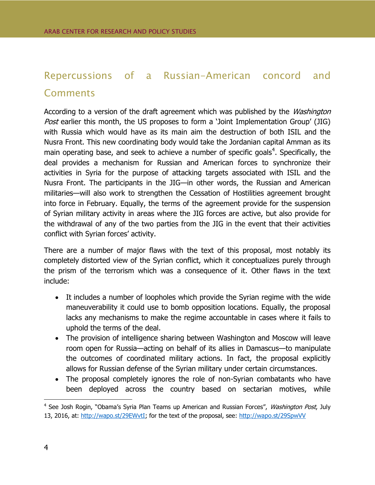## <span id="page-7-0"></span>Repercussions of a Russian-American concord and **Comments**

According to a version of the draft agreement which was published by the *Washington* Post earlier this month, the US proposes to form a 'Joint Implementation Group' (JIG) with Russia which would have as its main aim the destruction of both ISIL and the Nusra Front. This new coordinating body would take the Jordanian capital Amman as its main operating base, and seek to achieve a number of specific goals<sup>4</sup>. Specifically, the deal provides a mechanism for Russian and American forces to synchronize their activities in Syria for the purpose of attacking targets associated with ISIL and the Nusra Front. The participants in the JIG—in other words, the Russian and American militaries—will also work to strengthen the Cessation of Hostilities agreement brought into force in February. Equally, the terms of the agreement provide for the suspension of Syrian military activity in areas where the JIG forces are active, but also provide for the withdrawal of any of the two parties from the JIG in the event that their activities conflict with Syrian forces' activity.

There are a number of major flaws with the text of this proposal, most notably its completely distorted view of the Syrian conflict, which it conceptualizes purely through the prism of the terrorism which was a consequence of it. Other flaws in the text include:

- It includes a number of loopholes which provide the Syrian regime with the wide maneuverability it could use to bomb opposition locations. Equally, the proposal lacks any mechanisms to make the regime accountable in cases where it fails to uphold the terms of the deal.
- The provision of intelligence sharing between Washington and Moscow will leave room open for Russia—acting on behalf of its allies in Damascus—to manipulate the outcomes of coordinated military actions. In fact, the proposal explicitly allows for Russian defense of the Syrian military under certain circumstances.
- The proposal completely ignores the role of non-Syrian combatants who have been deployed across the country based on sectarian motives, while

 $\overline{a}$ 

<sup>&</sup>lt;sup>4</sup> See Josh Rogin, "Obama's Syria Plan Teams up American and Russian Forces", *Washington Post*, July 13, 2016, at: [http://wapo.st/29EWvtI;](http://wapo.st/29EWvtI) for the text of the proposal, see:<http://wapo.st/29SpwVV>